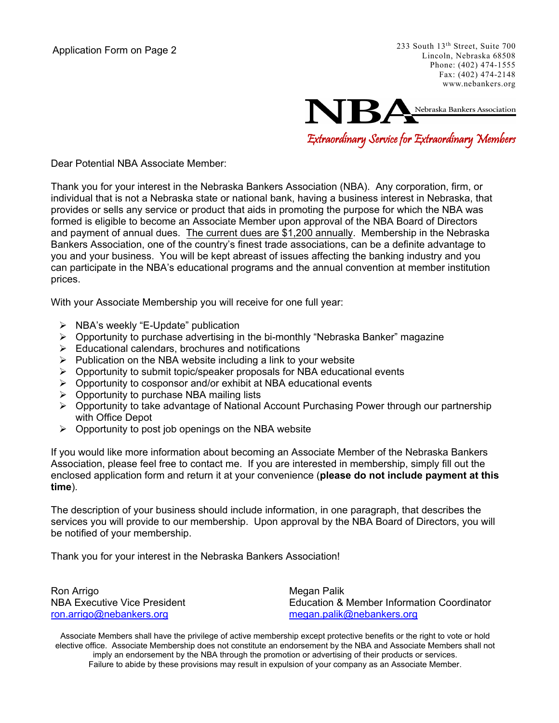233 South 13th Street, Suite 700 Lincoln, Nebraska 68508 Phone: (402) 474-1555 Fax: (402) 474-2148 www.nebankers.org



Dear Potential NBA Associate Member:

Thank you for your interest in the Nebraska Bankers Association (NBA). Any corporation, firm, or individual that is not a Nebraska state or national bank, having a business interest in Nebraska, that provides or sells any service or product that aids in promoting the purpose for which the NBA was formed is eligible to become an Associate Member upon approval of the NBA Board of Directors and payment of annual dues. The current dues are \$1,200 annually. Membership in the Nebraska Bankers Association, one of the country's finest trade associations, can be a definite advantage to you and your business. You will be kept abreast of issues affecting the banking industry and you can participate in the NBA's educational programs and the annual convention at member institution prices.

With your Associate Membership you will receive for one full year:

- $\triangleright$  NBA's weekly "E-Update" publication
- Opportunity to purchase advertising in the bi-monthly "Nebraska Banker" magazine
- $\triangleright$  Educational calendars, brochures and notifications
- $\triangleright$  Publication on the NBA website including a link to your website
- $\triangleright$  Opportunity to submit topic/speaker proposals for NBA educational events
- $\triangleright$  Opportunity to cosponsor and/or exhibit at NBA educational events
- $\triangleright$  Opportunity to purchase NBA mailing lists
- Opportunity to take advantage of National Account Purchasing Power through our partnership with Office Depot
- $\triangleright$  Opportunity to post job openings on the NBA website

If you would like more information about becoming an Associate Member of the Nebraska Bankers Association, please feel free to contact me. If you are interested in membership, simply fill out the enclosed application form and return it at your convenience (**please do not include payment at this time**).

The description of your business should include information, in one paragraph, that describes the services you will provide to our membership. Upon approval by the NBA Board of Directors, you will be notified of your membership.

Thank you for your interest in the Nebraska Bankers Association!

Ron Arrigo **Megan Palik** ron.arrigo@nebankers.org megan.palik@nebankers.org

NBA Executive Vice President **Executive Vice President** Entertainment Coordinator Education & Member Information Coordinator

Associate Members shall have the privilege of active membership except protective benefits or the right to vote or hold elective office. Associate Membership does not constitute an endorsement by the NBA and Associate Members shall not imply an endorsement by the NBA through the promotion or advertising of their products or services. Failure to abide by these provisions may result in expulsion of your company as an Associate Member.